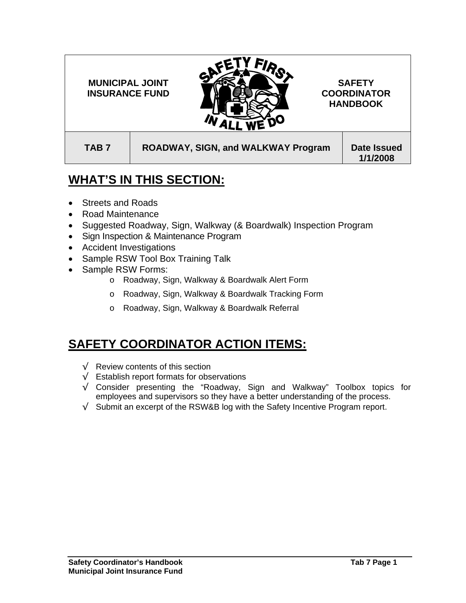FIR<sub>S</sub> **MUNICIPAL JOINT SAFETY INSURANCE FUND COORDINATOR HANDBOOK**  TAB 7 | ROADWAY, SIGN, and WALKWAY Program | Date Issued

**1/1/2008** 

## **WHAT'S IN THIS SECTION:**

- Streets and Roads
- Road Maintenance
- Suggested Roadway, Sign, Walkway (& Boardwalk) Inspection Program
- Sign Inspection & Maintenance Program
- Accident Investigations
- Sample RSW Tool Box Training Talk
- Sample RSW Forms:
	- o Roadway, Sign, Walkway & Boardwalk Alert Form
	- o Roadway, Sign, Walkway & Boardwalk Tracking Form
	- o Roadway, Sign, Walkway & Boardwalk Referral

## **SAFETY COORDINATOR ACTION ITEMS:**

- √ Review contents of this section
- √ Establish report formats for observations
- √ Consider presenting the "Roadway, Sign and Walkway" Toolbox topics for employees and supervisors so they have a better understanding of the process.
- √ Submit an excerpt of the RSW&B log with the Safety Incentive Program report.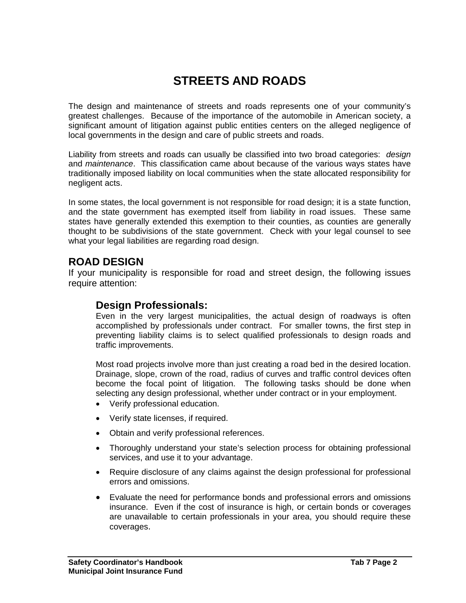# **STREETS AND ROADS**

The design and maintenance of streets and roads represents one of your community's greatest challenges. Because of the importance of the automobile in American society, a significant amount of litigation against public entities centers on the alleged negligence of local governments in the design and care of public streets and roads.

Liability from streets and roads can usually be classified into two broad categories: *design* and *maintenance*. This classification came about because of the various ways states have traditionally imposed liability on local communities when the state allocated responsibility for negligent acts.

In some states, the local government is not responsible for road design; it is a state function, and the state government has exempted itself from liability in road issues. These same states have generally extended this exemption to their counties, as counties are generally thought to be subdivisions of the state government. Check with your legal counsel to see what your legal liabilities are regarding road design.

## **ROAD DESIGN**

If your municipality is responsible for road and street design, the following issues require attention:

### **Design Professionals:**

Even in the very largest municipalities, the actual design of roadways is often accomplished by professionals under contract. For smaller towns, the first step in preventing liability claims is to select qualified professionals to design roads and traffic improvements.

Most road projects involve more than just creating a road bed in the desired location. Drainage, slope, crown of the road, radius of curves and traffic control devices often become the focal point of litigation. The following tasks should be done when selecting any design professional, whether under contract or in your employment.

- Verify professional education.
- Verify state licenses, if required.
- Obtain and verify professional references.
- Thoroughly understand your state's selection process for obtaining professional services, and use it to your advantage.
- Require disclosure of any claims against the design professional for professional errors and omissions.
- Evaluate the need for performance bonds and professional errors and omissions insurance. Even if the cost of insurance is high, or certain bonds or coverages are unavailable to certain professionals in your area, you should require these coverages.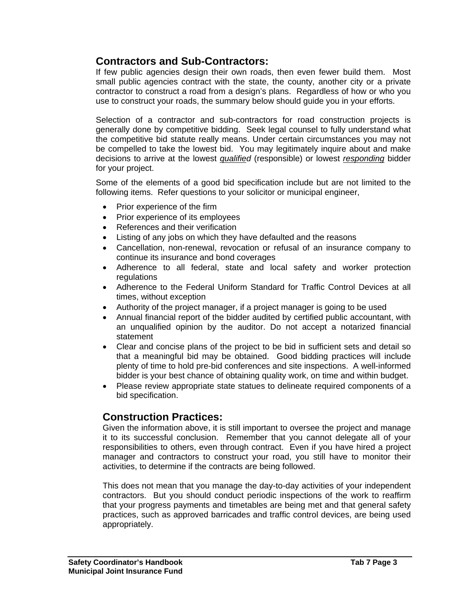## **Contractors and Sub-Contractors:**

If few public agencies design their own roads, then even fewer build them. Most small public agencies contract with the state, the county, another city or a private contractor to construct a road from a design's plans. Regardless of how or who you use to construct your roads, the summary below should guide you in your efforts.

Selection of a contractor and sub-contractors for road construction projects is generally done by competitive bidding. Seek legal counsel to fully understand what the competitive bid statute really means. Under certain circumstances you may not be compelled to take the lowest bid. You may legitimately inquire about and make decisions to arrive at the lowest *qualified* (responsible) or lowest *responding* bidder for your project.

Some of the elements of a good bid specification include but are not limited to the following items. Refer questions to your solicitor or municipal engineer,

- Prior experience of the firm
- Prior experience of its employees
- References and their verification
- Listing of any jobs on which they have defaulted and the reasons
- Cancellation, non-renewal, revocation or refusal of an insurance company to continue its insurance and bond coverages
- Adherence to all federal, state and local safety and worker protection regulations
- Adherence to the Federal Uniform Standard for Traffic Control Devices at all times, without exception
- Authority of the project manager, if a project manager is going to be used
- Annual financial report of the bidder audited by certified public accountant, with an unqualified opinion by the auditor. Do not accept a notarized financial statement
- Clear and concise plans of the project to be bid in sufficient sets and detail so that a meaningful bid may be obtained. Good bidding practices will include plenty of time to hold pre-bid conferences and site inspections. A well-informed bidder is your best chance of obtaining quality work, on time and within budget.
- Please review appropriate state statues to delineate required components of a bid specification.

## **Construction Practices:**

Given the information above, it is still important to oversee the project and manage it to its successful conclusion. Remember that you cannot delegate all of your responsibilities to others, even through contract. Even if you have hired a project manager and contractors to construct your road, you still have to monitor their activities, to determine if the contracts are being followed.

This does not mean that you manage the day-to-day activities of your independent contractors. But you should conduct periodic inspections of the work to reaffirm that your progress payments and timetables are being met and that general safety practices, such as approved barricades and traffic control devices, are being used appropriately.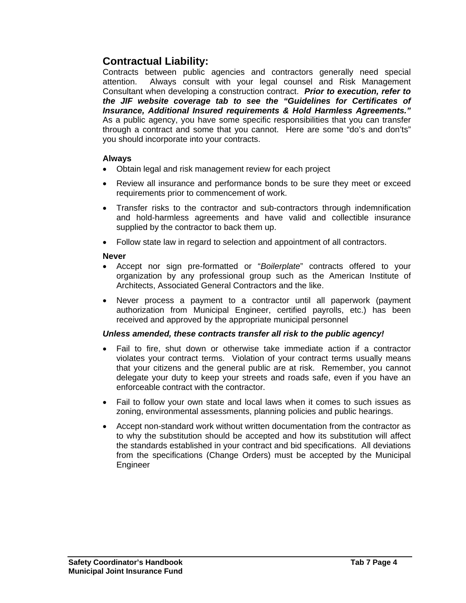## **Contractual Liability:**

Contracts between public agencies and contractors generally need special attention. Always consult with your legal counsel and Risk Management Consultant when developing a construction contract. *Prior to execution, refer to the JIF website coverage tab to see the "Guidelines for Certificates of Insurance, Additional Insured requirements & Hold Harmless Agreements."*  As a public agency, you have some specific responsibilities that you can transfer through a contract and some that you cannot. Here are some "do's and don'ts" you should incorporate into your contracts.

#### **Always**

- Obtain legal and risk management review for each project
- Review all insurance and performance bonds to be sure they meet or exceed requirements prior to commencement of work.
- Transfer risks to the contractor and sub-contractors through indemnification and hold-harmless agreements and have valid and collectible insurance supplied by the contractor to back them up.
- Follow state law in regard to selection and appointment of all contractors.

#### **Never**

- Accept nor sign pre-formatted or "*Boilerplate*" contracts offered to your organization by any professional group such as the American Institute of Architects, Associated General Contractors and the like.
- Never process a payment to a contractor until all paperwork (payment authorization from Municipal Engineer, certified payrolls, etc.) has been received and approved by the appropriate municipal personnel

#### *Unless amended, these contracts transfer all risk to the public agency!*

- Fail to fire, shut down or otherwise take immediate action if a contractor violates your contract terms. Violation of your contract terms usually means that your citizens and the general public are at risk. Remember, you cannot delegate your duty to keep your streets and roads safe, even if you have an enforceable contract with the contractor.
- Fail to follow your own state and local laws when it comes to such issues as zoning, environmental assessments, planning policies and public hearings.
- Accept non-standard work without written documentation from the contractor as to why the substitution should be accepted and how its substitution will affect the standards established in your contract and bid specifications. All deviations from the specifications (Change Orders) must be accepted by the Municipal Engineer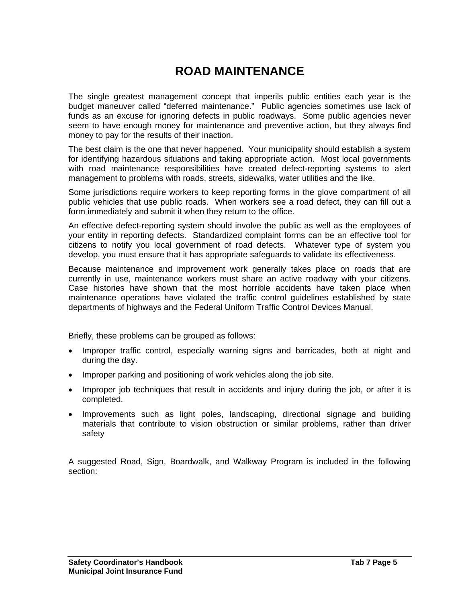# **ROAD MAINTENANCE**

The single greatest management concept that imperils public entities each year is the budget maneuver called "deferred maintenance." Public agencies sometimes use lack of funds as an excuse for ignoring defects in public roadways. Some public agencies never seem to have enough money for maintenance and preventive action, but they always find money to pay for the results of their inaction.

The best claim is the one that never happened. Your municipality should establish a system for identifying hazardous situations and taking appropriate action. Most local governments with road maintenance responsibilities have created defect-reporting systems to alert management to problems with roads, streets, sidewalks, water utilities and the like.

Some jurisdictions require workers to keep reporting forms in the glove compartment of all public vehicles that use public roads. When workers see a road defect, they can fill out a form immediately and submit it when they return to the office.

An effective defect-reporting system should involve the public as well as the employees of your entity in reporting defects. Standardized complaint forms can be an effective tool for citizens to notify you local government of road defects. Whatever type of system you develop, you must ensure that it has appropriate safeguards to validate its effectiveness.

Because maintenance and improvement work generally takes place on roads that are currently in use, maintenance workers must share an active roadway with your citizens. Case histories have shown that the most horrible accidents have taken place when maintenance operations have violated the traffic control guidelines established by state departments of highways and the Federal Uniform Traffic Control Devices Manual.

Briefly, these problems can be grouped as follows:

- Improper traffic control, especially warning signs and barricades, both at night and during the day.
- Improper parking and positioning of work vehicles along the job site.
- Improper job techniques that result in accidents and injury during the job, or after it is completed.
- Improvements such as light poles, landscaping, directional signage and building materials that contribute to vision obstruction or similar problems, rather than driver safety

A suggested Road, Sign, Boardwalk, and Walkway Program is included in the following section: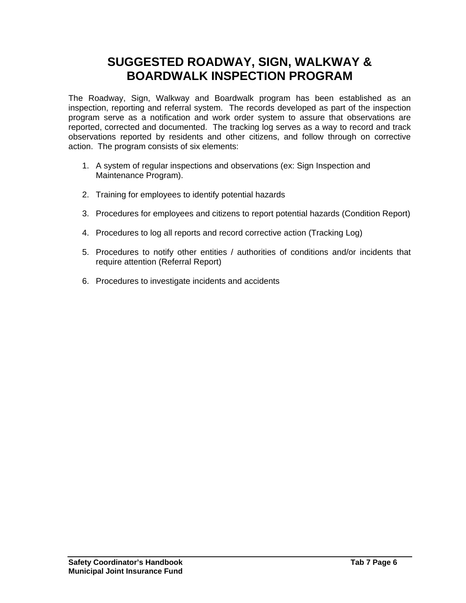## **SUGGESTED ROADWAY, SIGN, WALKWAY & BOARDWALK INSPECTION PROGRAM**

The Roadway, Sign, Walkway and Boardwalk program has been established as an inspection, reporting and referral system. The records developed as part of the inspection program serve as a notification and work order system to assure that observations are reported, corrected and documented. The tracking log serves as a way to record and track observations reported by residents and other citizens, and follow through on corrective action. The program consists of six elements:

- 1. A system of regular inspections and observations (ex: Sign Inspection and Maintenance Program).
- 2. Training for employees to identify potential hazards
- 3. Procedures for employees and citizens to report potential hazards (Condition Report)
- 4. Procedures to log all reports and record corrective action (Tracking Log)
- 5. Procedures to notify other entities / authorities of conditions and/or incidents that require attention (Referral Report)
- 6. Procedures to investigate incidents and accidents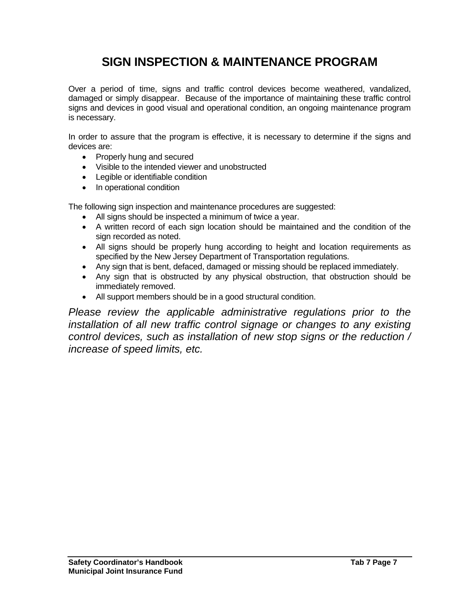# **SIGN INSPECTION & MAINTENANCE PROGRAM**

Over a period of time, signs and traffic control devices become weathered, vandalized, damaged or simply disappear. Because of the importance of maintaining these traffic control signs and devices in good visual and operational condition, an ongoing maintenance program is necessary.

In order to assure that the program is effective, it is necessary to determine if the signs and devices are:

- Properly hung and secured
- Visible to the intended viewer and unobstructed
- Legible or identifiable condition
- In operational condition

The following sign inspection and maintenance procedures are suggested:

- All signs should be inspected a minimum of twice a year.
- A written record of each sign location should be maintained and the condition of the sign recorded as noted.
- All signs should be properly hung according to height and location requirements as specified by the New Jersey Department of Transportation regulations.
- Any sign that is bent, defaced, damaged or missing should be replaced immediately.
- Any sign that is obstructed by any physical obstruction, that obstruction should be immediately removed.
- All support members should be in a good structural condition.

*Please review the applicable administrative regulations prior to the installation of all new traffic control signage or changes to any existing control devices, such as installation of new stop signs or the reduction / increase of speed limits, etc.*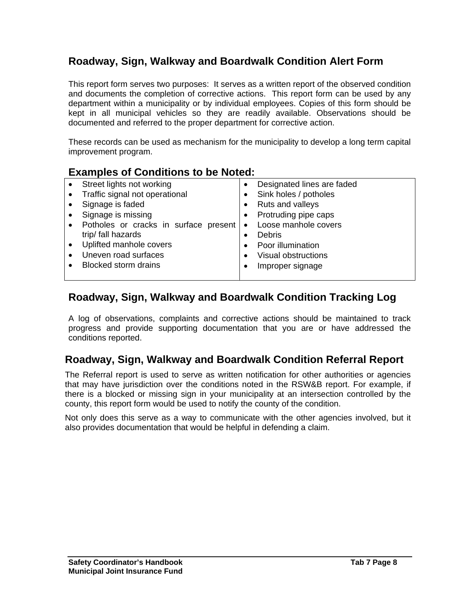## **Roadway, Sign, Walkway and Boardwalk Condition Alert Form**

This report form serves two purposes: It serves as a written report of the observed condition and documents the completion of corrective actions. This report form can be used by any department within a municipality or by individual employees. Copies of this form should be kept in all municipal vehicles so they are readily available. Observations should be documented and referred to the proper department for corrective action.

These records can be used as mechanism for the municipality to develop a long term capital improvement program.

### **Examples of Conditions to be Noted:**

| Street lights not working             |           | Designated lines are faded |
|---------------------------------------|-----------|----------------------------|
| Traffic signal not operational        |           | Sink holes / potholes      |
| Signage is faded                      |           | Ruts and valleys           |
| Signage is missing                    |           | Protruding pipe caps       |
| Potholes or cracks in surface present | $\bullet$ | Loose manhole covers       |
| trip/ fall hazards                    |           | <b>Debris</b>              |
| Uplifted manhole covers               |           | Poor illumination          |
| Uneven road surfaces                  |           | Visual obstructions        |
| <b>Blocked storm drains</b>           |           | Improper signage           |
|                                       |           |                            |

## **Roadway, Sign, Walkway and Boardwalk Condition Tracking Log**

A log of observations, complaints and corrective actions should be maintained to track progress and provide supporting documentation that you are or have addressed the conditions reported.

## **Roadway, Sign, Walkway and Boardwalk Condition Referral Report**

The Referral report is used to serve as written notification for other authorities or agencies that may have jurisdiction over the conditions noted in the RSW&B report. For example, if there is a blocked or missing sign in your municipality at an intersection controlled by the county, this report form would be used to notify the county of the condition.

Not only does this serve as a way to communicate with the other agencies involved, but it also provides documentation that would be helpful in defending a claim.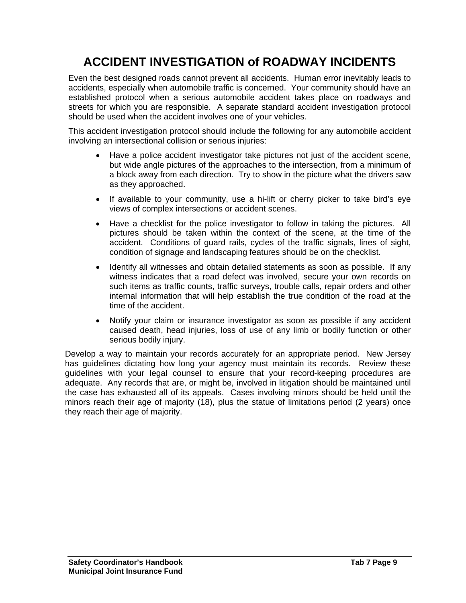# **ACCIDENT INVESTIGATION of ROADWAY INCIDENTS**

Even the best designed roads cannot prevent all accidents. Human error inevitably leads to accidents, especially when automobile traffic is concerned. Your community should have an established protocol when a serious automobile accident takes place on roadways and streets for which you are responsible. A separate standard accident investigation protocol should be used when the accident involves one of your vehicles.

This accident investigation protocol should include the following for any automobile accident involving an intersectional collision or serious injuries:

- Have a police accident investigator take pictures not just of the accident scene, but wide angle pictures of the approaches to the intersection, from a minimum of a block away from each direction. Try to show in the picture what the drivers saw as they approached.
- If available to your community, use a hi-lift or cherry picker to take bird's eye views of complex intersections or accident scenes.
- Have a checklist for the police investigator to follow in taking the pictures. All pictures should be taken within the context of the scene, at the time of the accident. Conditions of guard rails, cycles of the traffic signals, lines of sight, condition of signage and landscaping features should be on the checklist.
- Identify all witnesses and obtain detailed statements as soon as possible. If any witness indicates that a road defect was involved, secure your own records on such items as traffic counts, traffic surveys, trouble calls, repair orders and other internal information that will help establish the true condition of the road at the time of the accident.
- Notify your claim or insurance investigator as soon as possible if any accident caused death, head injuries, loss of use of any limb or bodily function or other serious bodily injury.

Develop a way to maintain your records accurately for an appropriate period. New Jersey has guidelines dictating how long your agency must maintain its records. Review these guidelines with your legal counsel to ensure that your record-keeping procedures are adequate. Any records that are, or might be, involved in litigation should be maintained until the case has exhausted all of its appeals. Cases involving minors should be held until the minors reach their age of majority (18), plus the statue of limitations period (2 years) once they reach their age of majority.